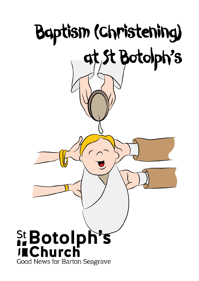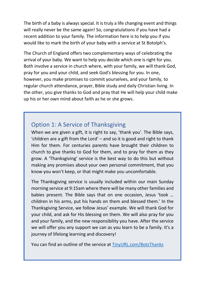The birth of a baby is always special. It is truly a life changing event and things will really never be the same again! So, congratulations if you have had a recent addition to your family. The information here is to help you if you would like to mark the birth of your baby with a service at St Botolph's.

The Church of England offers two complementary ways of celebrating the arrival of your baby. We want to help you decide which one is right for you. Both involve a service in church where, with your family, we will thank God, pray for you and your child, and seek God's blessing for you. In one, however, you make promises to commit yourselves, and your family, to regular church attendance, prayer, Bible study and daily Christian living. In the other, you give thanks to God and pray that He will help your child make up his or her own mind about faith as he or she grows.

## Option 1: A Service of Thanksgiving

When we are given a gift, it is right to say, 'thank you'. The Bible says, 'children are a gift from the Lord' – and so it is good and right to thank Him for them. For centuries parents have brought their children to church to give thanks to God for them, and to pray for them as they grow. A 'Thanksgiving' service is the best way to do this but without making any promises about your own personal commitment, that you know you won't keep, or that might make you uncomfortable.

The Thanksgiving service is usually included within our main Sunday morning service at 9:15am where there will be many other families and babies present. The Bible says that on one occasion, Jesus 'took … children in his arms, put his hands on them and blessed them.' In the Thanksgiving Service, we follow Jesus' example. We will thank God for your child, and ask for His blessing on them. We will also pray for you and your family, and the new responsibility you have. After the service we will offer you any support we can as you learn to be a family. It's a journey of lifelong learning and discovery!

You can find an outline of the service a[t TinyURL.com/BotsThanks](../../General/TinyURL.com/BotsThanks)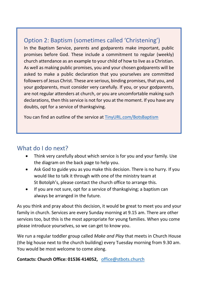## Option 2: Baptism (sometimes called 'Christening')

In the Baptism Service, parents and godparents make important, public promises before God. These include a commitment to regular (weekly) church attendance as an example to your child of how to live as a Christian. As well as making public promises, you and your chosen godparents will be asked to make a public declaration that you yourselves are committed followers of Jesus Christ. These are serious, binding promises, that you, and your godparents, must consider very carefully. If you, or your godparents, are not regular attenders at church, or you are uncomfortable making such declarations, then this service is not for you at the moment. If you have any doubts, opt for a service of thanksgiving.

You can find an outline of the service at [TinyURL.com/BotsBaptism](../../General/TinyURL.com/BotsBaptism)

## What do I do next?

- Think very carefully about which service is for you and your family. Use the diagram on the back page to help you.
- Ask God to guide you as you make this decision. There is no hurry. If you would like to talk it through with one of the ministry team at St Botolph's, please contact the church office to arrange this.
- If you are not sure, opt for a service of thanksgiving; a baptism can always be arranged in the future.

As you think and pray about this decision, it would be great to meet you and your family in church. Services are every Sunday morning at 9.15 am. There are other services too, but this is the most appropriate for young families. When you come please introduce yourselves, so we can get to know you.

We run a regular toddler group called *Make and Play* that meets in Church House (the big house next to the church building) every Tuesday morning from 9.30 am. You would be most welcome to come along.

## **Contacts: Church Office: 01536 414052,** [office@stbots.church](mailto:office@stbots.church)